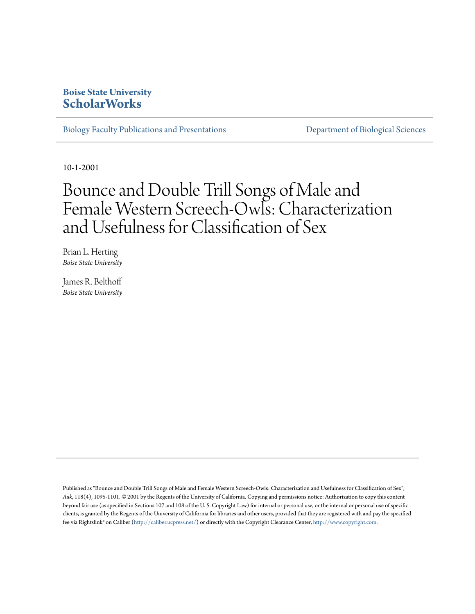## **Boise State University [ScholarWorks](https://scholarworks.boisestate.edu)**

[Biology Faculty Publications and Presentations](https://scholarworks.boisestate.edu/bio_facpubs) **[Department of Biological Sciences](https://scholarworks.boisestate.edu/biosciences)** 

10-1-2001

# Bounce and Double Trill Songs of Male and Female Western Screech-Owls: Characterization and Usefulness for Classification of Sex

Brian L. Herting *Boise State University*

James R. Belthoff *Boise State University*

Published as "Bounce and Double Trill Songs of Male and Female Western Screech-Owls: Characterization and Usefulness for Classification of Sex", *Auk*, 118(4), 1095-1101. © 2001 by the Regents of the University of California. Copying and permissions notice: Authorization to copy this content beyond fair use (as specified in Sections 107 and 108 of the U. S. Copyright Law) for internal or personal use, or the internal or personal use of specific clients, is granted by the Regents of the University of California for libraries and other users, provided that they are registered with and pay the specified fee via Rightslink® on Caliber (<http://caliber.ucpress.net/>) or directly with the Copyright Clearance Center, <http://www.copyright.com>.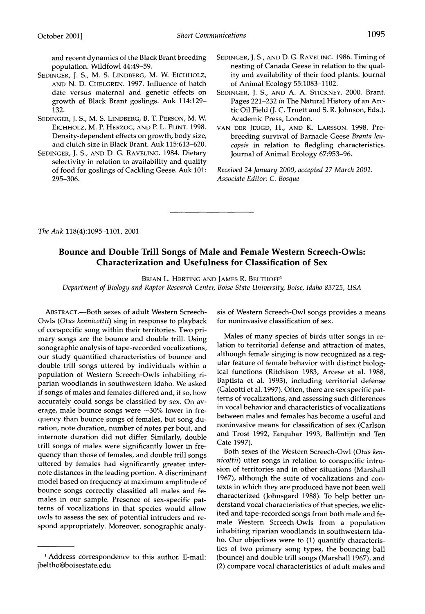**and recent dynamics of the Black Brant breeding population. Wildfowl 44:49-59.** 

- **SEDINGER, J. S., M. S. LINDBERG, M. W. EICHHOLZ, AND N. D. CHELGREN. 1997. Influence of hatch date versus maternal and genetic effects on growth of Black Brant goslings. Auk 114:129- 132.**
- **SEDINGER, J. S., M. S. LINDBERG, B. T. PERSON, M. W. EICHHOLZ, M. P. HERZOG, AND P. L. FLINT. 1998. Density-dependent effects on growth, body size, and clutch size in Black Brant. Auk 115:613-620.**
- **SEDINGER, J. S., AND D. G. RAVELING. 1984. Dietary selectivity in relation to availability and quality of food for goslings of Cackling Geese. Auk 101: 295-306.**
- **SEDINGER, J. S., AND D. G. RAVELING. 1986. Timing of nesting of Canada Geese in relation to the quality and availability of their food plants. Journal of Animal Ecology 55:1083-1102.**
- **SEDINGER, J. S., AND A. A. STICKNEY. 2000. Brant. Pages 221-232 in The Natural History of an Arctic Oil Field (J. C. Truett and S. R. Johnson, Eds.). Academic Press, London.**
- **VAN DER JEUGD, H., AND K. LARSSON. 1998. Prebreeding survival of Barnacle Geese Branta leucopsis in relation to fledgling characteristics. Journal of Animal Ecology 67:953-96.**

**Received 24 January 2000, accepted 27 March 2001. Associate Editor: C. Bosque** 

**The Auk 118(4):1095-1101, 2001** 

### **Bounce and Double Trill Songs of Male and Female Western Screech-Owls: Characterization and Usefulness for Classification of Sex**

**BRIAN L. HERTING AND JAMES R. BELTHOFF1** 

**Department of Biology and Raptor Research Center, Boise State University, Boise, Idaho 83725, USA** 

**ABSTRACT.-Both sexes of adult Western Screech-Owls (Otus kennicottii) sing in response to playback of conspecific song within their territories. Two primary songs are the bounce and double trill. Using sonographic analysis of tape-recorded vocalizations, our study quantified characteristics of bounce and double trill songs uttered by individuals within a population of Western Screech-Owls inhabiting riparian woodlands in southwestern Idaho. We asked if songs of males and females differed and, if so, how accurately could songs be classified by sex. On av**erage, male bounce songs were ~30% lower in fre**quency than bounce songs of females, but song duration, note duration, number of notes per bout, and internote duration did not differ. Similarly, double trill songs of males were significantly lower in frequency than those of females, and double trill songs uttered by females had significantly greater internote distances in the leading portion. A discriminant model based on frequency at maximum amplitude of bounce songs correctly classified all males and females in our sample. Presence of sex-specific patterns of vocalizations in that species would allow owls to assess the sex of potential intruders and respond appropriately. Moreover, sonographic analy-** **sis of Western Screech-Owl songs provides a means for noninvasive classification of sex.** 

**Males of many species of birds utter songs in relation to territorial defense and attraction of mates, although female singing is now recognized as a regular feature of female behavior with distinct biological functions (Ritchison 1983, Arcese et al. 1988, Baptista et al. 1993), including territorial defense (Galeotti et al. 1997). Often, there are sex specific patterns of vocalizations, and assessing such differences in vocal behavior and characteristics of vocalizations between males and females has become a useful and noninvasive means for classification of sex (Carlson and Trost 1992, Farquhar 1993, Ballintijn and Ten Cate 1997).** 

**Both sexes of the Western Screech-Owl (Otus kennicottii) utter songs in relation to conspecific intrusion of territories and in other situations (Marshall 1967), although the suite of vocalizations and contexts in which they are produced have not been well characterized (Johnsgard 1988). To help better understand vocal characteristics of that species, we elicited and tape-recorded songs from both male and female Western Screech-Owls from a population inhabiting riparian woodlands in southwestern Idaho. Our objectives were to (1) quantify characteristics of two primary song types, the bouncing ball (bounce) and double trill songs (Marshall 1967), and (2) compare vocal characteristics of adult males and** 

**<sup>1</sup> Address correspondence to this author. E-mail: jbeltho@boisestate.edu**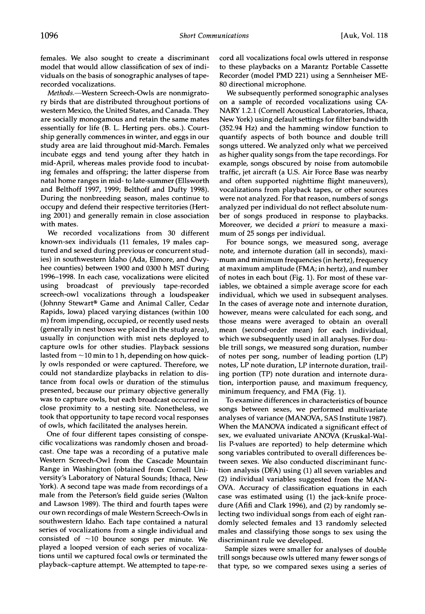**females. We also sought to create a discriminant model that would allow classification of sex of individuals on the basis of sonographic analyses of taperecorded vocalizations.** 

**Methods.-Western Screech-Owls are nonmigratory birds that are distributed throughout portions of western Mexico, the United States, and Canada. They are socially monogamous and retain the same mates essentially for life (B. L. Herting pers. obs.). Courtship generally commences in winter, and eggs in our study area are laid throughout mid-March. Females incubate eggs and tend young after they hatch in mid-April, whereas males provide food to incubating females and offspring; the latter disperse from natal home ranges in mid- to late-summer (Ellsworth and Belthoff 1997, 1999; Belthoff and Dufty 1998). During the nonbreeding season, males continue to occupy and defend their respective territories (Herting 2001) and generally remain in close association with mates.** 

**We recorded vocalizations from 30 different known-sex individuals (11 females, 19 males captured and sexed during previous or concurrent studies) in southwestern Idaho (Ada, Elmore, and Owyhee counties) between 1900 and 0300 h MST during 1996-1998. In each case, vocalizations were elicited using broadcast of previously tape-recorded screech-owl vocalizations through a loudspeaker (Johnny Stewart? Game and Animal Caller, Cedar Rapids, Iowa) placed varying distances (within 100 m) from impending, occupied, or recently used nests (generally in nest boxes we placed in the study area), usually in conjunction with mist nets deployed to capture owls for other studies. Playback sessions lasted from -10 min to 1 h, depending on how quickly owls responded or were captured. Therefore, we could not standardize playbacks in relation to distance from focal owls or duration of the stimulus presented, because our primary objective generally was to capture owls, but each broadcast occurred in close proximity to a nesting site. Nonetheless, we took that opportunity to tape record vocal responses of owls, which facilitated the analyses herein.** 

**One of four different tapes consisting of conspecific vocalizations was randomly chosen and broadcast. One tape was a recording of a putative male Western Screech-Owl from the Cascade Mountain Range in Washington (obtained from Cornell University's Laboratory of Natural Sounds; Ithaca, New York). A second tape was made from recordings of a male from the Peterson's field guide series (Walton and Lawson 1989). The third and fourth tapes were our own recordings of male Western Screech-Owls in southwestern Idaho. Each tape contained a natural series of vocalizations from a single individual and consisted of -10 bounce songs per minute. We played a looped version of each series of vocalizations until we captured focal owls or terminated the playback-capture attempt. We attempted to tape-re-** **cord all vocalizations focal owls uttered in response to these playbacks on a Marantz Portable Cassette Recorder (model PMD 221) using a Sennheiser ME-80 directional microphone.** 

**We subsequently performed sonographic analyses on a sample of recorded vocalizations using CA-NARY 1.2.1 (Cornell Acoustical Laboratories, Ithaca, New York) using default settings for filter bandwidth (352.94 Hz) and the hamming window function to quantify aspects of both bounce and double trill songs uttered. We analyzed only what we perceived as higher quality songs from the tape recordings. For example, songs obscured by noise from automobile traffic, jet aircraft (a U.S. Air Force Base was nearby and often supported nighttime flight maneuvers), vocalizations from playback tapes, or other sources were not analyzed. For that reason, numbers of songs analyzed per individual do not reflect absolute number of songs produced in response to playbacks. Moreover, we decided a priori to measure a maximum of 25 songs per individual.** 

**For bounce songs, we measured song, average note, and internote duration (all in seconds), maximum and minimum frequencies (in hertz), frequency at maximum amplitude (FMA; in hertz), and number of notes in each bout (Fig. 1). For most of these variables, we obtained a simple average score for each individual, which we used in subsequent analyses. In the cases of average note and internote duration, however, means were calculated for each song, and those means were averaged to obtain an overall mean (second-order mean) for each individual, which we subsequently used in all analyses. For double trill songs, we measured song duration, number of notes per song, number of leading portion (LP) notes, LP note duration, LP internote duration, trailing portion (TP) note duration and internote duration, interportion pause, and maximum frequency, minimum frequency, and FMA (Fig. 1).** 

**To examine differences in characteristics of bounce songs between sexes, we performed multivariate analyses of variance (MANOVA, SAS Institute 1987). When the MANOVA indicated a significant effect of sex, we evaluated univariate ANOVA (Kruskal-Wallis P-values are reported) to help determine which song variables contributed to overall differences between sexes. We also conducted discriminant function analysis (DFA) using (1) all seven variables and (2) individual variables suggested from the MAN-OVA. Accuracy of classification equations in each case was estimated using (1) the jack-knife procedure (Afifi and Clark 1996), and (2) by randomly selecting two individual songs from each of eight randomly selected females and 13 randomly selected males and classifying those songs to sex using the discriminant rule we developed.** 

**Sample sizes were smaller for analyses of double trill songs because owls uttered many fewer songs of that type, so we compared sexes using a series of**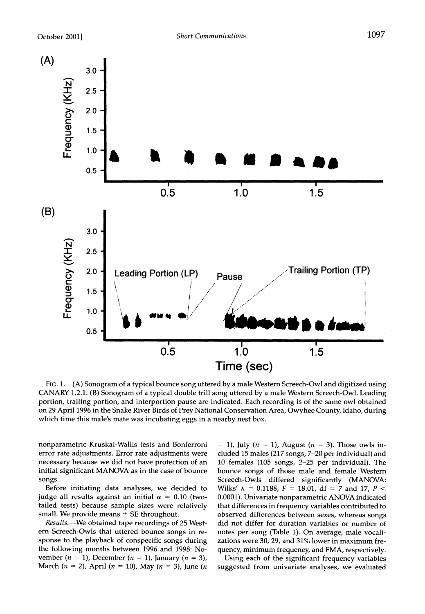

**Fic. 1. (A) Sonogram of a typical bounce song uttered by a male Western Screech-Owl and digitized using CANARY 1.2.1. (B) Sonogram of a typical double trill song uttered by a male Western Screech-Owl. Leading portion, trailing portion, and interportion pause are indicated. Each recording is of the same owl obtained on 29 April 1996 in the Snake River Birds of Prey National Conservation Area, Owyhee County, Idaho, during which time this male's mate was incubating eggs in a nearby nest box.** 

**nonparametric Kruskal-Wallis tests and Bonferroni error rate adjustments. Error rate adjustments were necessary because we did not have protection of an initial significant MANOVA as in the case of bounce songs.** 

**Before initiating data analyses, we decided to**  judge all results against an initial  $\alpha = 0.10$  (two**tailed tests) because sample sizes were relatively**  small. We provide means  $\pm$  SE throughout.

**Results.-We obtained tape recordings of 25 Western Screech-Owls that uttered bounce songs in response to the playback of conspecific songs during the following months between 1996 and 1998: No**vember  $(n = 1)$ , December  $(n = 1)$ , January  $(n = 3)$ , **March**  $(n = 2)$ , April  $(n = 10)$ , May  $(n = 3)$ , June  $(n = 10)$ 

 $= 1$ , July ( $n = 1$ ), August ( $n = 3$ ). Those owls in**cluded 15 males (217 songs, 7-20 per individual) and 10 females (105 songs, 2-25 per individual). The bounce songs of those male and female Western Screech-Owls differed significantly (MANOVA:**  Wilks'  $\lambda$  = 0.1188,  $F = 18.01$ , df = 7 and 17, P < **0.0001). Univariate nonparametric ANOVA indicated that differences in frequency variables contributed to observed differences between sexes, whereas songs did not differ for duration variables or number of notes per song (Table 1). On average, male vocalizations were 30, 29, and 31% lower in maximum frequency, minimum frequency, and FMA, respectively.** 

**Using each of the significant frequency variables suggested from univariate analyses, we evaluated**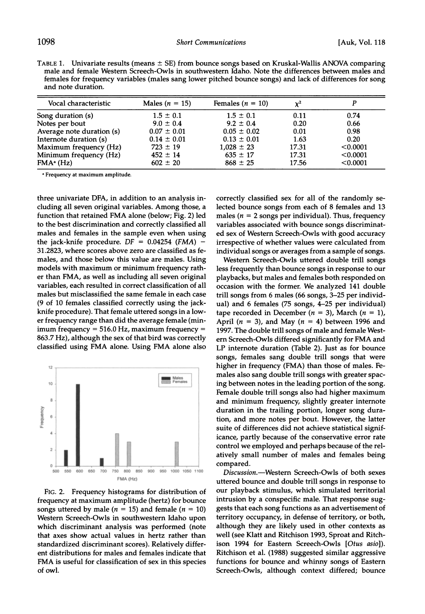| TABLE 1. Univariate results (means $\pm$ SE) from bounce songs based on Kruskal-Wallis ANOVA comparing                         |  |
|--------------------------------------------------------------------------------------------------------------------------------|--|
| male and female Western Screech-Owls in southwestern Idaho. Note the differences between males and                             |  |
| females for frequency variables (males sang lower pitched bounce songs) and lack of differences for song<br>and note duration. |  |

| Vocal characteristic      | Males ( $n = 15$ ) | Females $(n = 10)$ | $\chi^2$ |          |
|---------------------------|--------------------|--------------------|----------|----------|
| Song duration (s)         | $1.5 \pm 0.1$      | $1.5 \pm 0.1$      | 0.11     | 0.74     |
| Notes per bout            | $9.0 \pm 0.4$      | $9.2 \pm 0.4$      | 0.20     | 0.66     |
| Average note duration (s) | $0.07 \pm 0.01$    | $0.05 \pm 0.02$    | 0.01     | 0.98     |
| Internote duration (s)    | $0.14 \pm 0.01$    | $0.13 \pm 0.01$    | 1.63     | 0.20     |
| Maximum frequency (Hz)    | $723 \pm 19$       | $1,028 \pm 23$     | 17.31    | < 0.0001 |
| Minimum frequency (Hz)    | $452 \pm 14$       | $635 \pm 17$       | 17.31    | < 0.0001 |
| FMA <sup>a</sup> (Hz)     | $602 \pm 20$       | $868 \pm 25$       | 17.56    | < 0.0001 |

**I Frequency at maximum amplitude.** 

**three univariate DFA, in addition to an analysis including all seven original variables. Among those, a function that retained FMA alone (below; Fig. 2) led to the best discrimination and correctly classified all males and females in the sample even when using**  the jack-knife procedure.  $DF = 0.04254$  (FMA) -**31.2823, where scores above zero are classified as females, and those below this value are males. Using models with maximum or minimum frequency rather than FMA, as well as including all seven original variables, each resulted in correct classification of all males but misclassified the same female in each case (9 of 10 females classified correctly using the jackknife procedure). That female uttered songs in a lower frequency range than did the average female (minimum frequency = 516.0 Hz, maximum frequency = 863.7 Hz), although the sex of that bird was correctly classified using FMA alone. Using FMA alone also** 



**FIG. 2. Frequency histograms for distribution of frequency at maximum amplitude (hertz) for bounce songs uttered by male (** $n = 15$ **) and female (** $n = 10$ **) Western Screech-Owls in southwestern Idaho upon which discriminant analysis was performed (note that axes show actual values in hertz rather than standardized discriminant scores). Relatively different distributions for males and females indicate that FMA is useful for classification of sex in this species of owl.** 

**correctly classified sex for all of the randomly selected bounce songs from each of 8 females and 13**  males ( $n = 2$  songs per individual). Thus, frequency **variables associated with bounce songs discriminated sex of Western Screech-Owls with good accuracy irrespective of whether values were calculated from individual songs or averages from a sample of songs.** 

**Western Screech-Owls uttered double trill songs less frequently than bounce songs in response to our playbacks, but males and females both responded on occasion with the former. We analyzed 141 double trill songs from 6 males (66 songs, 3-25 per individual) and 6 females (75 songs, 4-25 per individual)**   $\tt tape recorded in December (n = 3), March (n = 1),$ April  $(n = 3)$ , and May  $(n = 4)$  between 1996 and **1997. The double trill songs of male and female Western Screech-Owls differed significantly for FMA and LP internote duration (Table 2). Just as for bounce songs, females sang double trill songs that were higher in frequency (FMA) than those of males. Females also sang double trill songs with greater spacing between notes in the leading portion of the song. Female double trill songs also had higher maximum and minimum frequency, slightly greater internote duration in the trailing portion, longer song duration, and more notes per bout. However, the latter suite of differences did not achieve statistical significance, partly because of the conservative error rate control we employed and perhaps because of the relatively small number of males and females being compared.** 

**Discussion.-Western Screech-Owls of both sexes uttered bounce and double trill songs in response to our playback stimulus, which simulated territorial intrusion by a conspecific male. That response suggests that each song functions as an advertisement of territory occupancy, in defense of territory, or both, although they are likely used in other contexts as well (see Klatt and Ritchison 1993, Sproat and Ritchison 1994 for Eastern Screech-Owls [Otus asio]). Ritchison et al. (1988) suggested similar aggressive functions for bounce and whinny songs of Eastern Screech-Owls, although context differed; bounce**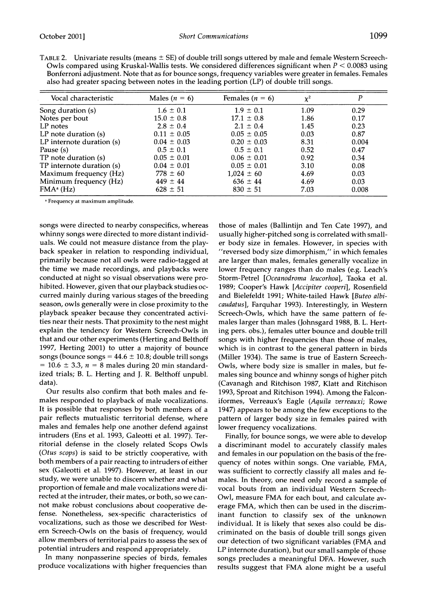| Vocal characteristic      | Males $(n = 6)$<br>$1.6 \pm 0.1$ | Females $(n = 6)$<br>$1.9 \pm 0.1$ | $\chi^2$<br>1.09 | P<br>0.29 |
|---------------------------|----------------------------------|------------------------------------|------------------|-----------|
| Song duration (s)         |                                  |                                    |                  |           |
| Notes per bout            | $15.0 \pm 0.8$                   | $17.1 \pm 0.8$                     | 1.86             | 0.17      |
| LP notes                  | $2.8 \pm 0.4$                    | $2.1 \pm 0.4$                      | 1.45             | 0.23      |
| $LP$ note duration $(s)$  | $0.11 \pm 0.05$                  | $0.05 \pm 0.05$                    | 0.03             | 0.87      |
| LP internote duration (s) | $0.04 \pm 0.03$                  | $0.20 \pm 0.03$                    | 8.31             | 0.004     |
| Pause (s)                 | $0.5 \pm 0.1$                    | $0.5 \pm 0.1$                      | 0.52             | 0.47      |
| TP note duration (s)      | $0.05 \pm 0.01$                  | $0.06 \pm 0.01$                    | 0.92             | 0.34      |
| TP internote duration (s) | $0.04 \pm 0.01$                  | $0.05 \pm 0.01$                    | 3.10             | 0.08      |
| Maximum frequency (Hz)    | $778 \pm 60$                     | $1.024 \pm 60$                     | 4.69             | 0.03      |
| Minimum frequency (Hz)    | $449 \pm 44$                     | $636 \pm 44$                       | 4.69             | 0.03      |
| FMA <sup>a</sup> (Hz)     | $628 \pm 51$                     | $830 \pm 51$                       | 7.03             | 0.008     |

TABLE 2. Univariate results (means  $\pm$  SE) of double trill songs uttered by male and female Western Screech-**Owls compared using Kruskal-Wallis tests. We considered differences significant when P < 0.0083 using Bonferroni adjustment. Note that as for bounce songs, frequency variables were greater in females. Females** 

**aFrequency at maximum amplitude.** 

**songs were directed to nearby conspecifics, whereas whinny songs were directed to more distant individuals. We could not measure distance from the playback speaker in relation to responding individual, primarily because not all owls were radio-tagged at the time we made recordings, and playbacks were conducted at night so visual observations were prohibited. However, given that our playback studies occurred mainly during various stages of the breeding season, owls generally were in close proximity to the playback speaker because they concentrated activities near their nests. That proximity to the nest might explain the tendency for Western Screech-Owls in that and our other experiments (Herting and Belthoff 1997, Herting 2001) to utter a majority of bounce songs (bounce songs = 44.6 ? 10.8; double trill songs**   $= 10.6 \pm 3.3$ ,  $n = 8$  males during 20 min standard**ized trials; B. L. Herting and J. R. Belthoff unpubl. data).** 

**Our results also confirm that both males and females responded to playback of male vocalizations. It is possible that responses by both members of a pair reflects mutualistic territorial defense, where males and females help one another defend against intruders (Ens et al. 1993, Galeotti et al. 1997). Territorial defense in the closely related Scops Owls (Otus scops) is said to be strictly cooperative, with both members of a pair reacting to intruders of either sex (Galeotti et al. 1997). However, at least in our study, we were unable to discern whether and what proportion of female and male vocalizations were directed at the intruder, their mates, or both, so we cannot make robust conclusions about cooperative defense. Nonetheless, sex-specific characteristics of vocalizations, such as those we described for Western Screech-Owls on the basis of frequency, would allow members of territorial pairs to assess the sex of potential intruders and respond appropriately.** 

**In many nonpasserine species of birds, females produce vocalizations with higher frequencies than**  **those of males (Ballintijn and Ten Cate 1997), and usually higher-pitched song is correlated with smaller body size in females. However, in species with "reversed body size dimorphism," in which females are larger than males, females generally vocalize in lower frequency ranges than do males (e.g. Leach's Storm-Petrel [Oceanodroma leucorhoa], Taoka et al. 1989; Cooper's Hawk [Accipiter cooperi], Rosenfield and Bielefeldt 1991; White-tailed Hawk [Buteo albicaudatus], Farquhar 1993). Interestingly, in Western Screech-Owls, which have the same pattern of females larger than males (Johnsgard 1988, B. L. Herting pers. obs.), females utter bounce and double trill songs with higher frequencies than those of males, which is in contrast to the general pattern in birds (Miller 1934). The same is true of Eastern Screech-Owls, where body size is smaller in males, but females sing bounce and whinny songs of higher pitch (Cavanagh and Ritchison 1987, Klatt and Ritchison 1993, Sproat and Ritchison 1994). Among the Falconiformes, Verreaux's Eagle (Aquila verreauxi; Rowe 1947) appears to be among the few exceptions to the pattern of larger body size in females paired with lower frequency vocalizations.** 

**Finally, for bounce songs, we were able to develop a discriminant model to accurately classify males and females in our population on the basis of the frequency of notes within songs. One variable, FMA, was sufficient to correctly classify all males and females. In theory, one need only record a sample of vocal bouts from an individual Western Screech-Owl, measure FMA for each bout, and calculate average FMA, which then can be used in the discriminant function to classify sex of the unknown individual. It is likely that sexes also could be discriminated on the basis of double trill songs given our detection of two significant variables (FMA and LP internote duration), but our small sample of those songs precludes a meaningful DFA. However, such results suggest that FMA alone might be a useful**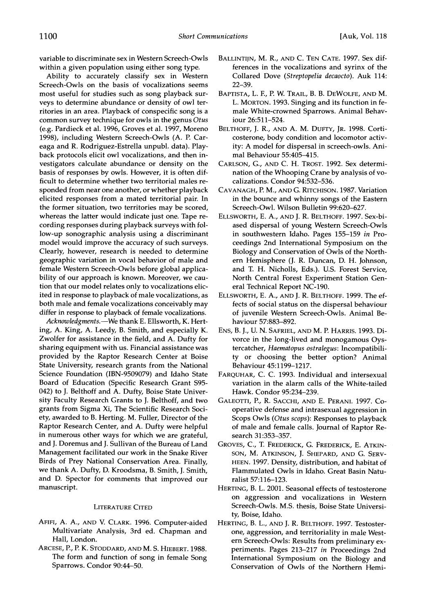**variable to discriminate sex in Western Screech-Owls within a given population using either song type.** 

**Ability to accurately classify sex in Western Screech-Owls on the basis of vocalizations seems most useful for studies such as song playback surveys to determine abundance or density of owl territories in an area. Playback of conspecific song is a common survey technique for owls in the genus Otus (e.g. Pardieck et al. 1996, Groves et al. 1997, Moreno 1998), including Western Screech-Owls (A. P. Careaga and R. Rodriguez-Estrella unpubl. data). Playback protocols elicit owl vocalizations, and then investigators calculate abundance or density on the basis of responses by owls. However, it is often difficult to determine whether two territorial males responded from near one another, or whether playback elicited responses from a mated territorial pair. In the former situation, two territories may be scored, whereas the latter would indicate just one. Tape recording responses during playback surveys with follow-up sonographic analysis using a discriminant model would improve the accuracy of such surveys. Clearly, however, research is needed to determine geographic variation in vocal behavior of male and female Western Screech-Owls before global applicability of our approach is known. Moreover, we caution that our model relates only to vocalizations elicited in response to playback of male vocalizations, as both male and female vocalizations conceivably may differ in response to playback of female vocalizations.** 

Acknowledgments.--We thank E. Ellsworth, K. Hert**ing, A. King, A. Leedy, B. Smith, and especially K. Zwolfer for assistance in the field, and A. Dufty for sharing equipment with us. Financial assistance was provided by the Raptor Research Center at Boise State University, research grants from the National Science Foundation (IBN-9509079) and Idaho State Board of Education (Specific Research Grant S95- 042) to J. Belthoff and A. Dufty, Boise State University Faculty Research Grants to J. Belthoff, and two grants from Sigma Xi, The Scientific Research Society, awarded to B. Herting. M. Fuller, Director of the Raptor Research Center, and A. Dufty were helpful in numerous other ways for which we are grateful, and J. Doremus and J. Sullivan of the Bureau of Land Management facilitated our work in the Snake River Birds of Prey National Conservation Area. Finally, we thank A. Dufty, D. Kroodsma, B. Smith, J. Smith, and D. Spector for comments that improved our manuscript.** 

#### **LITERATURE CITED**

- **AFIFI, A. A., AND V. CLARK. 1996. Computer-aided Multivariate Analysis, 3rd ed. Chapman and Hall, London.**
- **ARCESE, P., P. K. STODDARD, AND M. S. HIEBERT. 1988. The form and function of song in female Song Sparrows. Condor 90:44-50.**
- **BALLINTIJN, M. R., AND C. TEN CATE. 1997. Sex differences in the vocalizations and syrinx of the Collared Dove (Streptopelia decaocto). Auk 114: 22-39.**
- **BAPTISTA, L. F., P. W. TRAIL, B. B. DEWOLFE, AND M. L. MORTON. 1993. Singing and its function in female White-crowned Sparrows. Animal Behaviour 26:511-524.**
- **BELTHOFF, J. R., AND A. M. DUFTY, JR. 1998. Corticosterone, body condition and locomotor activity: A model for dispersal in screech-owls. Animal Behaviour 55:405-415.**
- **CARLSON, G., AND C. H. TROST. 1992. Sex determination of the Whooping Crane by analysis of vocalizations. Condor 94:532-536.**
- **CAVANAGH, P. M., AND G. RITCHISON. 1987. Variation in the bounce and whinny songs of the Eastern Screech-Owl. Wilson Bulletin 99:620-627.**
- **ELLSWORTH, E. A., AND J. R. BELTHOFF. 1997. Sex-biased dispersal of young Western Screech-Owls in southwestern Idaho. Pages 155-159 in Proceedings 2nd International Symposium on the Biology and Conservation of Owls of the Northern Hemisphere (J. R. Duncan, D. H. Johnson, and T. H. Nicholls, Eds.). U.S. Forest Service, North Central Forest Experiment Station General Technical Report NC-190.**
- **ELLSWORTH, E. A., AND J. R. BELTHOFF. 1999. The effects of social status on the dispersal behaviour of juvenile Western Screech-Owls. Animal Behaviour 57:883-892.**
- **ENS, B. J., U. N. SAFRIEL, AND M. P. HARRIS. 1993. Divorce in the long-lived and monogamous Oystercatcher, Haematopus ostralegus: Incompatibility or choosing the better option? Animal Behaviour 45:1199-1217.**
- **FARQUHAR, C. C. 1993. Individual and intersexual variation in the alarm calls of the White-tailed Hawk. Condor 95:234-239.**
- **GALEOTTI, P., R. SACCHI, AND E. PERANI. 1997. Cooperative defense and intrasexual aggression in Scops Owls (Otus scops): Responses to playback of male and female calls. Journal of Raptor Research 31:353-357.**
- **GROVES, C., T. FREDERICK, G. FREDERICK, E. ATKIN-SON, M. ATKINSON, J. SHEPARD, AND G. SERV-HEEN. 1997. Density, distribution, and habitat of Flammulated Owls in Idaho. Great Basin Naturalist 57:116-123.**
- **HERTING, B. L. 2001. Seasonal effects of testosterone on aggression and vocalizations in Western Screech-Owls. M.S. thesis, Boise State University, Boise, Idaho.**
- **HERTING, B. L., AND J. R. BELTHOFF. 1997. Testosterone, aggression, and territoriality in male Western Screech-Owls: Results from preliminary experiments. Pages 213-217 in Proceedings 2nd International Symposium on the Biology and Conservation of Owls of the Northern Hemi-**